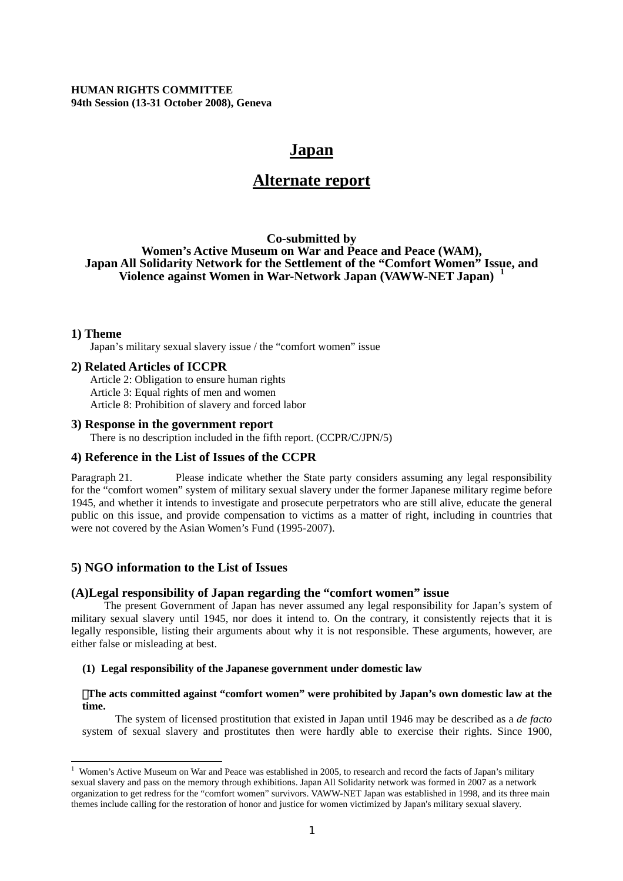**HUMAN RIGHTS COMMITTEE 94th Session (13-31 October 2008), Geneva** 

# **Japan**

# **Alternate report**

## **Co-submitted by Women's Active Museum on War and Peace and Peace (WAM), Japan All Solidarity Network for the Settlement of the "Comfort Women" Issue, and Violence against Women in War-Network Japan (VAWW-NET Japan) [1](#page-0-0)**

## **1) Theme**

Japan's military sexual slavery issue / the "comfort women" issue

### **2) Related Articles of ICCPR**

Article 2: Obligation to ensure human rights Article 3: Equal rights of men and women Article 8: Prohibition of slavery and forced labor

## **3) Response in the government report**

There is no description included in the fifth report. (CCPR/C/JPN/5)

### **4) Reference in the List of Issues of the CCPR**

Paragraph 21. Please indicate whether the State party considers assuming any legal responsibility for the "comfort women" system of military sexual slavery under the former Japanese military regime before 1945, and whether it intends to investigate and prosecute perpetrators who are still alive, educate the general public on this issue, and provide compensation to victims as a matter of right, including in countries that were not covered by the Asian Women's Fund (1995-2007).

## **5) NGO information to the List of Issues**

### **(A)Legal responsibility of Japan regarding the "comfort women" issue**

The present Government of Japan has never assumed any legal responsibility for Japan's system of military sexual slavery until 1945, nor does it intend to. On the contrary, it consistently rejects that it is legally responsible, listing their arguments about why it is not responsible. These arguments, however, are either false or misleading at best.

#### **(1) Legal responsibility of the Japanese government under domestic law**

## ・**The acts committed against "comfort women" were prohibited by Japan's own domestic law at the time.**

The system of licensed prostitution that existed in Japan until 1946 may be described as a *de facto* system of sexual slavery and prostitutes then were hardly able to exercise their rights. Since 1900,

<span id="page-0-0"></span>Women's Active Museum on War and Peace was established in 2005, to research and record the facts of Japan's military sexual slavery and pass on the memory through exhibitions. Japan All Solidarity network was formed in 2007 as a network organization to get redress for the "comfort women" survivors. VAWW-NET Japan was established in 1998, and its three main themes include calling for the restoration of honor and justice for women victimized by Japan's military sexual slavery.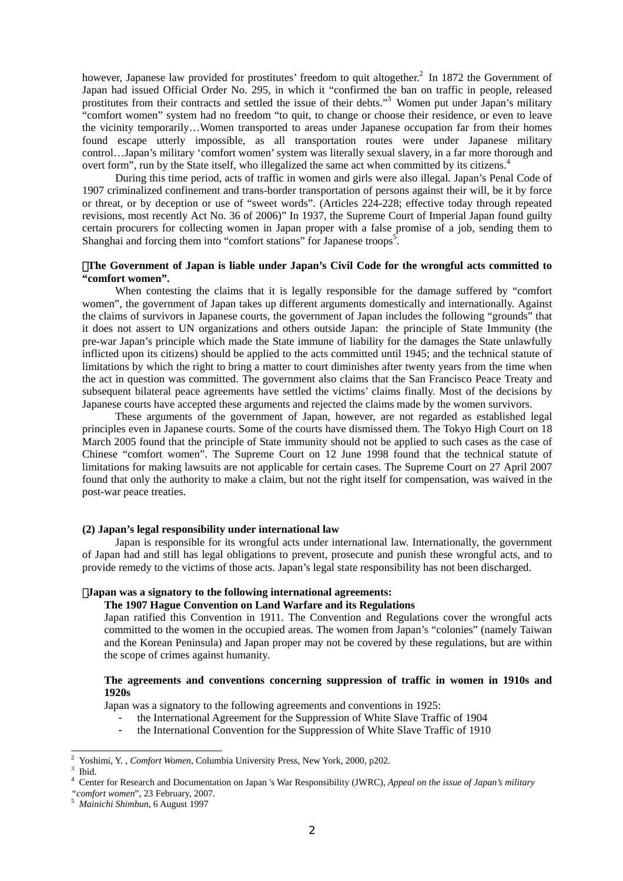however, Japanese law provided for prostitutes' freedom to quit altogether.<sup>[2](#page-1-0)</sup> In 1872 the Government of Japan had issued Official Order No. 295, in which it "confirmed the ban on traffic in people, released prostitutes from their contracts and settled the issue of their debts."<sup>[3](#page-1-1)</sup> Women put under Japan's military "comfort women" system had no freedom "to quit, to change or choose their residence, or even to leave the vicinity temporarily…Women transported to areas under Japanese occupation far from their homes found escape utterly impossible, as all transportation routes were under Japanese military control…Japan's military 'comfort women' system was literally sexual slavery, in a far more thorough and overt form", run by the State itself, who illegalized the same act when committed by its citizens.<sup>4</sup>

During this time period, acts of traffic in women and girls were also illegal. Japan's Penal Code of 1907 criminalized confinement and trans-border transportation of persons against their will, be it by force or threat, or by deception or use of "sweet words". (Articles 224-228; effective today through repeated revisions, most recently Act No. 36 of 2006)" In 1937, the Supreme Court of Imperial Japan found guilty certain procurers for collecting women in Japan proper with a false promise of a job, sending them to Shanghai and forcing them into "comfort stations" for Japanese troops<sup>5</sup>.

#### ・**The Government of Japan is liable under Japan's Civil Code for the wrongful acts committed to "comfort women".**

When contesting the claims that it is legally responsible for the damage suffered by "comfort women", the government of Japan takes up different arguments domestically and internationally. Against the claims of survivors in Japanese courts, the government of Japan includes the following "grounds" that it does not assert to UN organizations and others outside Japan: the principle of State Immunity (the pre-war Japan's principle which made the State immune of liability for the damages the State unlawfully inflicted upon its citizens) should be applied to the acts committed until 1945; and the technical statute of limitations by which the right to bring a matter to court diminishes after twenty years from the time when the act in question was committed. The government also claims that the San Francisco Peace Treaty and subsequent bilateral peace agreements have settled the victims' claims finally. Most of the decisions by Japanese courts have accepted these arguments and rejected the claims made by the women survivors.

These arguments of the government of Japan, however, are not regarded as established legal principles even in Japanese courts. Some of the courts have dismissed them. The Tokyo High Court on 18 March 2005 found that the principle of State immunity should not be applied to such cases as the case of Chinese "comfort women". The Supreme Court on 12 June 1998 found that the technical statute of limitations for making lawsuits are not applicable for certain cases. The Supreme Court on 27 April 2007 found that only the authority to make a claim, but not the right itself for compensation, was waived in the post-war peace treaties.

#### **(2) Japan's legal responsibility under international law**

Japan is responsible for its wrongful acts under international law. Internationally, the government of Japan had and still has legal obligations to prevent, prosecute and punish these wrongful acts, and to provide remedy to the victims of those acts. Japan's legal state responsibility has not been discharged.

### ・**Japan was a signatory to the following international agreements:**

## **The 1907 Hague Convention on Land Warfare and its Regulations**

Japan ratified this Convention in 1911. The Convention and Regulations cover the wrongful acts committed to the women in the occupied areas. The women from Japan's "colonies" (namely Taiwan and the Korean Peninsula) and Japan proper may not be covered by these regulations, but are within the scope of crimes against humanity.

## **The agreements and conventions concerning suppression of traffic in women in 1910s and 1920s**

Japan was a signatory to the following agreements and conventions in 1925:

- the International Agreement for the Suppression of White Slave Traffic of 1904
- the International Convention for the Suppression of White Slave Traffic of 1910

<span id="page-1-0"></span> $\frac{1}{2}$ <sup>2</sup> Yoshimi, Y., *Comfort Women*, Columbia University Press, New York, 2000, p202.

<span id="page-1-1"></span>Ibid.

<span id="page-1-2"></span><sup>4</sup> Center for Research and Documentation on Japan 's War Responsibility (JWRC), *Appeal on the issue of Japan's military* 

*<sup>&</sup>quot;comfort women*", 23 February, 2007. 5 *Mainichi Shimbun*, 6 August 1997

<span id="page-1-3"></span>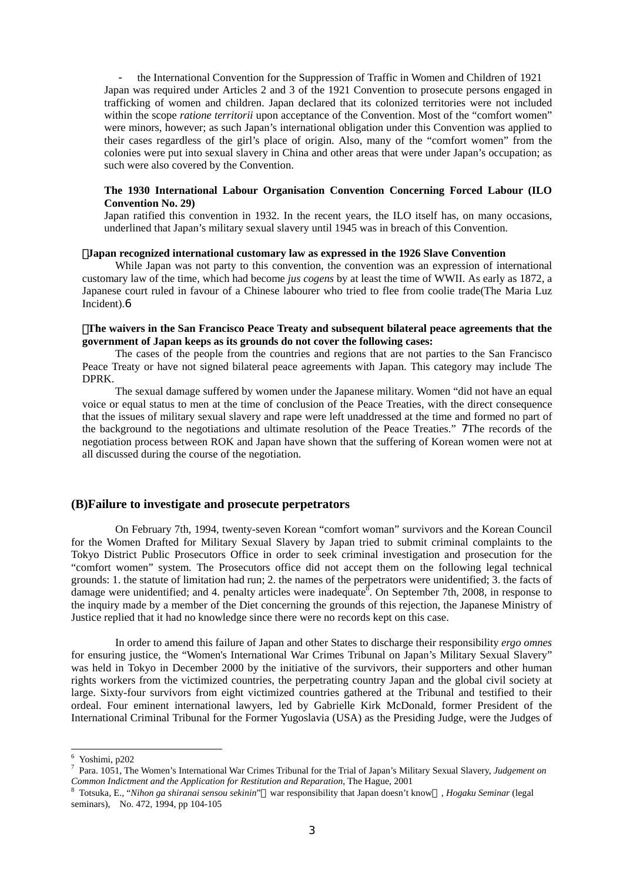- the International Convention for the Suppression of Traffic in Women and Children of 1921 Japan was required under Articles 2 and 3 of the 1921 Convention to prosecute persons engaged in trafficking of women and children. Japan declared that its colonized territories were not included within the scope *ratione territorii* upon acceptance of the Convention. Most of the "comfort women" were minors, however; as such Japan's international obligation under this Convention was applied to their cases regardless of the girl's place of origin. Also, many of the "comfort women" from the colonies were put into sexual slavery in China and other areas that were under Japan's occupation; as such were also covered by the Convention.

### **The 1930 International Labour Organisation Convention Concerning Forced Labour (ILO Convention No. 29)**

Japan ratified this convention in 1932. In the recent years, the ILO itself has, on many occasions, underlined that Japan's military sexual slavery until 1945 was in breach of this Convention.

#### ・**Japan recognized international customary law as expressed in the 1926 Slave Convention**

While Japan was not party to this convention, the convention was an expression of international customary law of the time, which had become *jus cogens* by at least the time of WWII. As early as 1872, a Japanese court ruled in favour of a Chinese labourer who tried to flee from coolie trade(The Maria Luz Incident).[6](#page-2-0)

#### ・**The waivers in the San Francisco Peace Treaty and subsequent bilateral peace agreements that the government of Japan keeps as its grounds do not cover the following cases:**

The cases of the people from the countries and regions that are not parties to the San Francisco Peace Treaty or have not signed bilateral peace agreements with Japan. This category may include The DPRK.

The sexual damage suffered by women under the Japanese military. Women "did not have an equal voice or equal status to men at the time of conclusion of the Peace Treaties, with the direct consequence that the issues of military sexual slavery and rape were left unaddressed at the time and formed no part of the background to the negotiations and ultimate resolution of the Peace Treaties." [7](#page-2-1)The records of the negotiation process between ROK and Japan have shown that the suffering of Korean women were not at all discussed during the course of the negotiation.

#### **(B)Failure to investigate and prosecute perpetrators**

On February 7th, 1994, twenty-seven Korean "comfort woman" survivors and the Korean Council for the Women Drafted for Military Sexual Slavery by Japan tried to submit criminal complaints to the Tokyo District Public Prosecutors Office in order to seek criminal investigation and prosecution for the "comfort women" system. The Prosecutors office did not accept them on the following legal technical grounds: 1. the statute of limitation had run; 2. the names of the perpetrators were unidentified; 3. the facts of damage were unidentified; and 4. penalty articles were inadequate<sup>[8](#page-2-2)</sup>. On September 7th, 2008, in response to the inquiry made by a member of the Diet concerning the grounds of this rejection, the Japanese Ministry of Justice replied that it had no knowledge since there were no records kept on this case.

In order to amend this failure of Japan and other States to discharge their responsibility *ergo omnes* for ensuring justice, the "Women's International War Crimes Tribunal on Japan's Military Sexual Slavery" was held in Tokyo in December 2000 by the initiative of the survivors, their supporters and other human rights workers from the victimized countries, the perpetrating country Japan and the global civil society at large. Sixty-four survivors from eight victimized countries gathered at the Tribunal and testified to their ordeal. Four eminent international lawyers, led by Gabrielle Kirk McDonald, former President of the International Criminal Tribunal for the Former Yugoslavia (USA) as the Presiding Judge, were the Judges of

6

<span id="page-2-1"></span><span id="page-2-0"></span>Yoshimi, p202 7 Para. 1051, The Women's International War Crimes Tribunal for the Trial of Japan's Military Sexual Slavery, *Judgement on Common Indictment and the Application for Restitution and Reparation*, The Hague, 2001 8 Totsuka, E., "*Nihon ga shiranai sensou sekinin*" war responsibility that Japan doesn't know , *Hogaku Seminar* (legal

<span id="page-2-2"></span>seminars), No. 472, 1994, pp 104-105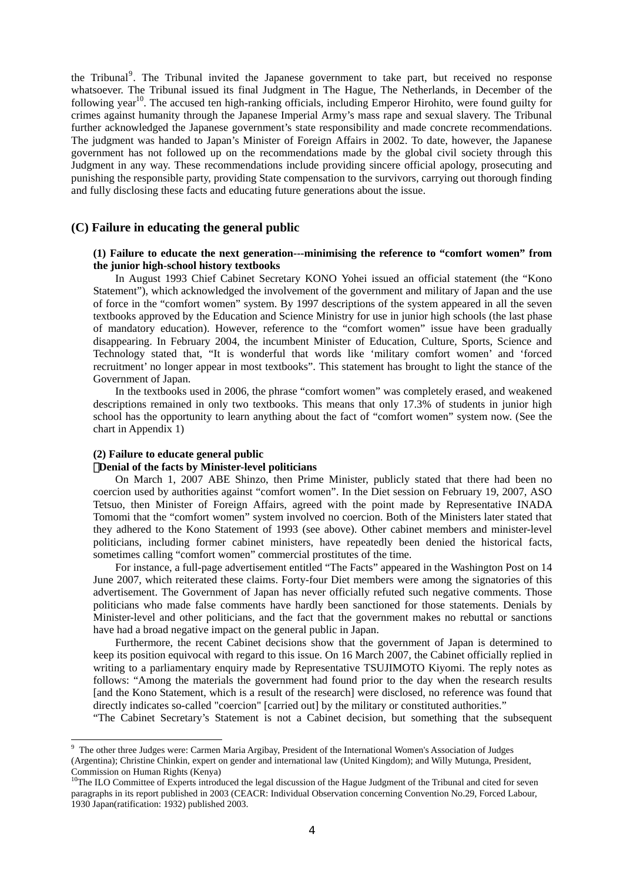the Tribunal<sup>[9](#page-3-0)</sup>. The Tribunal invited the Japanese government to take part, but received no response whatsoever. The Tribunal issued its final Judgment in The Hague, The Netherlands, in December of the following year<sup>10</sup>. The accused ten high-ranking officials, including Emperor Hirohito, were found guilty for crimes against humanity through the Japanese Imperial Army's mass rape and sexual slavery. The Tribunal further acknowledged the Japanese government's state responsibility and made concrete recommendations. The judgment was handed to Japan's Minister of Foreign Affairs in 2002. To date, however, the Japanese government has not followed up on the recommendations made by the global civil society through this Judgment in any way. These recommendations include providing sincere official apology, prosecuting and punishing the responsible party, providing State compensation to the survivors, carrying out thorough finding and fully disclosing these facts and educating future generations about the issue.

## **(C) Failure in educating the general public**

### **(1) Failure to educate the next generation---minimising the reference to "comfort women" from the junior high-school history textbooks**

In August 1993 Chief Cabinet Secretary KONO Yohei issued an official statement (the "Kono Statement"), which acknowledged the involvement of the government and military of Japan and the use of force in the "comfort women" system. By 1997 descriptions of the system appeared in all the seven textbooks approved by the Education and Science Ministry for use in junior high schools (the last phase of mandatory education). However, reference to the "comfort women" issue have been gradually disappearing. In February 2004, the incumbent Minister of Education, Culture, Sports, Science and Technology stated that, "It is wonderful that words like 'military comfort women' and 'forced recruitment' no longer appear in most textbooks". This statement has brought to light the stance of the Government of Japan.

In the textbooks used in 2006, the phrase "comfort women" was completely erased, and weakened descriptions remained in only two textbooks. This means that only 17.3% of students in junior high school has the opportunity to learn anything about the fact of "comfort women" system now. (See the chart in Appendix 1)

#### **(2) Failure to educate general public**

#### ・**Denial of the facts by Minister-level politicians**

On March 1, 2007 ABE Shinzo, then Prime Minister, publicly stated that there had been no coercion used by authorities against "comfort women". In the Diet session on February 19, 2007, ASO Tetsuo, then Minister of Foreign Affairs, agreed with the point made by Representative INADA Tomomi that the "comfort women" system involved no coercion. Both of the Ministers later stated that they adhered to the Kono Statement of 1993 (see above). Other cabinet members and minister-level politicians, including former cabinet ministers, have repeatedly been denied the historical facts, sometimes calling "comfort women" commercial prostitutes of the time.

For instance, a full-page advertisement entitled "The Facts" appeared in the Washington Post on 14 June 2007, which reiterated these claims. Forty-four Diet members were among the signatories of this advertisement. The Government of Japan has never officially refuted such negative comments. Those politicians who made false comments have hardly been sanctioned for those statements. Denials by Minister-level and other politicians, and the fact that the government makes no rebuttal or sanctions have had a broad negative impact on the general public in Japan.

Furthermore, the recent Cabinet decisions show that the government of Japan is determined to keep its position equivocal with regard to this issue. On 16 March 2007, the Cabinet officially replied in writing to a parliamentary enquiry made by Representative TSUJIMOTO Kiyomi. The reply notes as follows: "Among the materials the government had found prior to the day when the research results [and the Kono Statement, which is a result of the research] were disclosed, no reference was found that directly indicates so-called "coercion" [carried out] by the military or constituted authorities."

"The Cabinet Secretary's Statement is not a Cabinet decision, but something that the subsequent

<span id="page-3-0"></span><sup>&</sup>lt;sup>9</sup> The other three Judges were: Carmen Maria Argibay, President of the International Women's Association of Judges (Argentina); Christine Chinkin, expert on gender and international law (United Kingdom); and Willy Mutunga, President, Commission on Human Rights (Kenya)<br><sup>10</sup>The ILO Committee of Experts introduced the legal discussion of the Hague Judgment of the Tribunal and cited for seven

<span id="page-3-1"></span>paragraphs in its report published in 2003 (CEACR: Individual Observation concerning Convention No.29, Forced Labour, 1930 Japan(ratification: 1932) published 2003.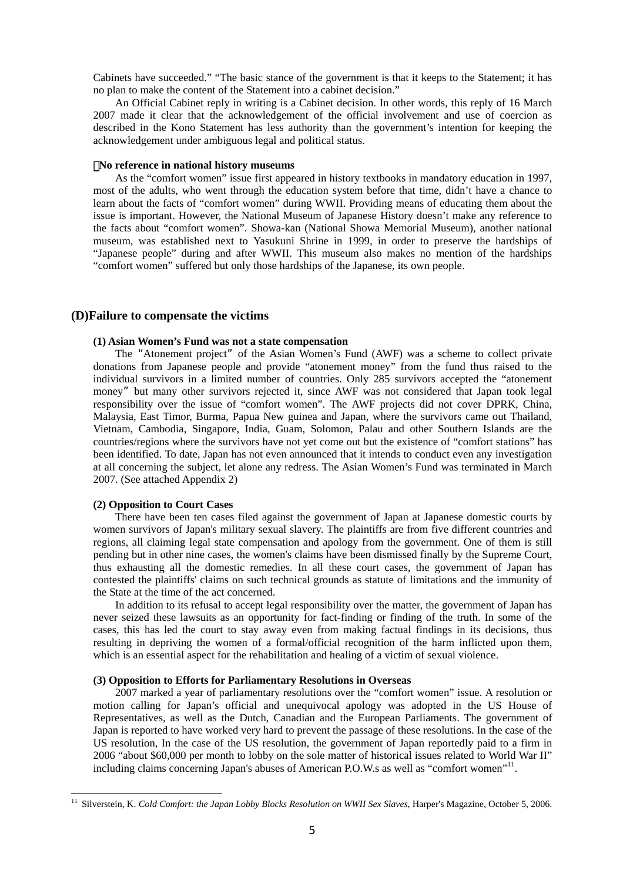Cabinets have succeeded." "The basic stance of the government is that it keeps to the Statement; it has no plan to make the content of the Statement into a cabinet decision."

An Official Cabinet reply in writing is a Cabinet decision. In other words, this reply of 16 March 2007 made it clear that the acknowledgement of the official involvement and use of coercion as described in the Kono Statement has less authority than the government's intention for keeping the acknowledgement under ambiguous legal and political status.

#### ・**No reference in national history museums**

As the "comfort women" issue first appeared in history textbooks in mandatory education in 1997, most of the adults, who went through the education system before that time, didn't have a chance to learn about the facts of "comfort women" during WWII. Providing means of educating them about the issue is important. However, the National Museum of Japanese History doesn't make any reference to the facts about "comfort women". Showa-kan (National Showa Memorial Museum), another national museum, was established next to Yasukuni Shrine in 1999, in order to preserve the hardships of "Japanese people" during and after WWII. This museum also makes no mention of the hardships "comfort women" suffered but only those hardships of the Japanese, its own people.

## **(D)Failure to compensate the victims**

#### **(1) Asian Women's Fund was not a state compensation**

The "Atonement project" of the Asian Women's Fund (AWF) was a scheme to collect private donations from Japanese people and provide "atonement money" from the fund thus raised to the individual survivors in a limited number of countries. Only 285 survivors accepted the "atonement money" but many other survivors rejected it, since AWF was not considered that Japan took legal responsibility over the issue of "comfort women". The AWF projects did not cover DPRK, China, Malaysia, East Timor, Burma, Papua New guinea and Japan, where the survivors came out Thailand, Vietnam, Cambodia, Singapore, India, Guam, Solomon, Palau and other Southern Islands are the countries/regions where the survivors have not yet come out but the existence of "comfort stations" has been identified. To date, Japan has not even announced that it intends to conduct even any investigation at all concerning the subject, let alone any redress. The Asian Women's Fund was terminated in March 2007. (See attached Appendix 2)

#### **(2) Opposition to Court Cases**

There have been ten cases filed against the government of Japan at Japanese domestic courts by women survivors of Japan's military sexual slavery. The plaintiffs are from five different countries and regions, all claiming legal state compensation and apology from the government. One of them is still pending but in other nine cases, the women's claims have been dismissed finally by the Supreme Court, thus exhausting all the domestic remedies. In all these court cases, the government of Japan has contested the plaintiffs' claims on such technical grounds as statute of limitations and the immunity of the State at the time of the act concerned.

In addition to its refusal to accept legal responsibility over the matter, the government of Japan has never seized these lawsuits as an opportunity for fact-finding or finding of the truth. In some of the cases, this has led the court to stay away even from making factual findings in its decisions, thus resulting in depriving the women of a formal/official recognition of the harm inflicted upon them, which is an essential aspect for the rehabilitation and healing of a victim of sexual violence.

#### **(3) Opposition to Efforts for Parliamentary Resolutions in Overseas**

2007 marked a year of parliamentary resolutions over the "comfort women" issue. A resolution or motion calling for Japan's official and unequivocal apology was adopted in the US House of Representatives, as well as the Dutch, Canadian and the European Parliaments. The government of Japan is reported to have worked very hard to prevent the passage of these resolutions. In the case of the US resolution, In the case of the US resolution, the government of Japan reportedly paid to a firm in 2006 "about \$60,000 per month to lobby on the sole matter of historical issues related to World War II" including claims concerning Japan's abuses of American P.O.W.s as well as "comfort women"<sup>11</sup>.

<span id="page-4-0"></span><sup>&</sup>lt;sup>11</sup> Silverstein, K. *Cold Comfort: the Japan Lobby Blocks Resolution on WWII Sex Slaves*, Harper's Magazine, October 5, 2006.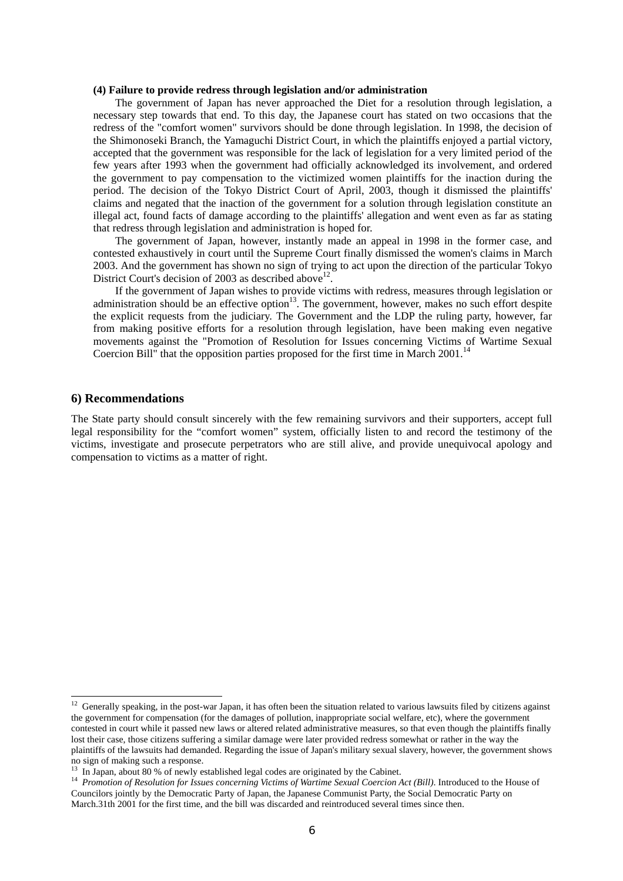#### **(4) Failure to provide redress through legislation and/or administration**

The government of Japan has never approached the Diet for a resolution through legislation, a necessary step towards that end. To this day, the Japanese court has stated on two occasions that the redress of the "comfort women" survivors should be done through legislation. In 1998, the decision of the Shimonoseki Branch, the Yamaguchi District Court, in which the plaintiffs enjoyed a partial victory, accepted that the government was responsible for the lack of legislation for a very limited period of the few years after 1993 when the government had officially acknowledged its involvement, and ordered the government to pay compensation to the victimized women plaintiffs for the inaction during the period. The decision of the Tokyo District Court of April, 2003, though it dismissed the plaintiffs' claims and negated that the inaction of the government for a solution through legislation constitute an illegal act, found facts of damage according to the plaintiffs' allegation and went even as far as stating that redress through legislation and administration is hoped for.

The government of Japan, however, instantly made an appeal in 1998 in the former case, and contested exhaustively in court until the Supreme Court finally dismissed the women's claims in March 2003. And the government has shown no sign of trying to act upon the direction of the particular Tokyo District Court's decision of 2003 as described above<sup>12</sup>

If the government of Japan wishes to provide victims with redress, measures through legislation or administration should be an effective option<sup>13</sup>. The government, however, makes no such effort despite the explicit requests from the judiciary. The Government and the LDP the ruling party, however, far from making positive efforts for a resolution through legislation, have been making even negative movements against the "Promotion of Resolution for Issues concerning Victims of Wartime Sexual Coercion Bill" that the opposition parties proposed for the first time in March  $2001$ .<sup>[14](#page-5-2)</sup>

## **6) Recommendations**

The State party should consult sincerely with the few remaining survivors and their supporters, accept full legal responsibility for the "comfort women" system, officially listen to and record the testimony of the victims, investigate and prosecute perpetrators who are still alive, and provide unequivocal apology and compensation to victims as a matter of right.

<span id="page-5-0"></span> $12$  Generally speaking, in the post-war Japan, it has often been the situation related to various lawsuits filed by citizens against the government for compensation (for the damages of pollution, inappropriate social welfare, etc), where the government contested in court while it passed new laws or altered related administrative measures, so that even though the plaintiffs finally lost their case, those citizens suffering a similar damage were later provided redress somewhat or rather in the way the plaintiffs of the lawsuits had demanded. Regarding the issue of Japan's military sexual slavery, however, the government shows no sign of making such a response.

<span id="page-5-2"></span><span id="page-5-1"></span>

<sup>&</sup>lt;sup>13</sup> In Japan, about 80 % of newly established legal codes are originated by the Cabinet.<br><sup>14</sup> *Promotion of Resolution for Issues concerning Victims of Wartime Sexual Coercion Act (Bill)*. Introduced to the House of Councilors jointly by the Democratic Party of Japan, the Japanese Communist Party, the Social Democratic Party on March.31th 2001 for the first time, and the bill was discarded and reintroduced several times since then.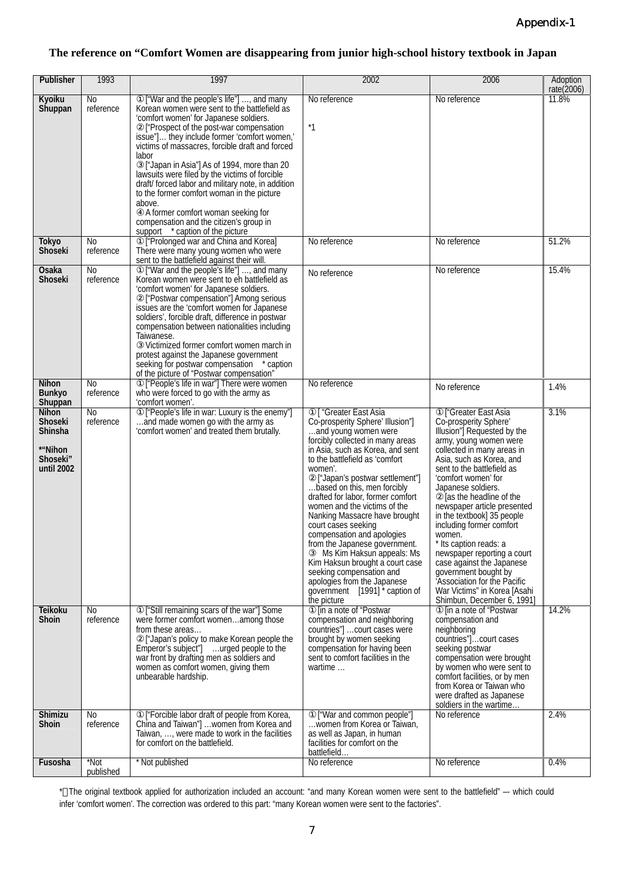## **The reference on "Comfort Women are disappearing from junior high-school history textbook in Japan**

| Publisher                                                                             | 1993                        | 1997                                                                                                                                                                                                                                                                                                                                                                                                                                                                                                                                                                                                                               | 2002                                                                                                                                                                                                                                                                                                                                                                                                                                                                                                                                                                                                                                           | 2006                                                                                                                                                                                                                                                                                                                                                                                                                                                                                                                                                                                         | Adoption<br>rate $(2006)$ |
|---------------------------------------------------------------------------------------|-----------------------------|------------------------------------------------------------------------------------------------------------------------------------------------------------------------------------------------------------------------------------------------------------------------------------------------------------------------------------------------------------------------------------------------------------------------------------------------------------------------------------------------------------------------------------------------------------------------------------------------------------------------------------|------------------------------------------------------------------------------------------------------------------------------------------------------------------------------------------------------------------------------------------------------------------------------------------------------------------------------------------------------------------------------------------------------------------------------------------------------------------------------------------------------------------------------------------------------------------------------------------------------------------------------------------------|----------------------------------------------------------------------------------------------------------------------------------------------------------------------------------------------------------------------------------------------------------------------------------------------------------------------------------------------------------------------------------------------------------------------------------------------------------------------------------------------------------------------------------------------------------------------------------------------|---------------------------|
| Kyoiku<br>Shuppan                                                                     | N <sub>0</sub><br>reference | ["War and the people's life"] , and many<br>Korean women were sent to the battlefield as<br>'comfort women' for Japanese soldiers.<br>["Prospect of the post-war compensation<br>issue"] they include former 'comfort women,'<br>victims of massacres, forcible draft and forced<br>labor<br>["Japan in Asia"] As of 1994, more than 20<br>lawsuits were filed by the victims of forcible<br>draft/forced labor and military note, in addition<br>to the former comfort woman in the picture<br>above.<br>A former comfort woman seeking for<br>compensation and the citizen's group in<br>support <u>* caption</u> of the picture | No reference<br>$*1$                                                                                                                                                                                                                                                                                                                                                                                                                                                                                                                                                                                                                           | No reference                                                                                                                                                                                                                                                                                                                                                                                                                                                                                                                                                                                 | 11.8%                     |
| <b>Tokyo</b><br>Shoseki                                                               | No<br>reference             | ["Prolonged war and China and Korea]<br>There were many young women who were<br>sent to the battlefield against their will.                                                                                                                                                                                                                                                                                                                                                                                                                                                                                                        | No reference                                                                                                                                                                                                                                                                                                                                                                                                                                                                                                                                                                                                                                   | No reference                                                                                                                                                                                                                                                                                                                                                                                                                                                                                                                                                                                 | 51.2%                     |
| Osaka<br><b>Shoseki</b>                                                               | No<br>reference             | ["War and the people's life"] , and many<br>Korean women were sent to eh battlefield as<br>'comfort women' for Japanese soldiers.<br>["Postwar compensation"] Among serious<br>issues are the 'comfort women for Japanese<br>soldiers', forcible draft, difference in postwar<br>compensation between nationalities including<br>Taiwanese.<br>Victimized former comfort women march in<br>protest against the Japanese government<br>seeking for postwar compensation * caption<br>of the picture of "Postwar compensation"                                                                                                       | No reference                                                                                                                                                                                                                                                                                                                                                                                                                                                                                                                                                                                                                                   | No reference                                                                                                                                                                                                                                                                                                                                                                                                                                                                                                                                                                                 | 15.4%                     |
| <b>Nihon</b><br><b>Bunkyo</b><br>Shuppan                                              | No<br>reference             | ["People's life in war"] There were women<br>who were forced to go with the army as<br>'comfort women'.                                                                                                                                                                                                                                                                                                                                                                                                                                                                                                                            | No reference                                                                                                                                                                                                                                                                                                                                                                                                                                                                                                                                                                                                                                   | No reference                                                                                                                                                                                                                                                                                                                                                                                                                                                                                                                                                                                 | 1.4%                      |
| <b>Nihon</b><br><b>Shoseki</b><br><b>Shinsha</b><br>*"Nihon<br>Shoseki"<br>until 2002 | No<br>reference             | ["People's life in war: Luxury is the enemy"]<br>and made women go with the army as<br>'comfort women' and treated them brutally.                                                                                                                                                                                                                                                                                                                                                                                                                                                                                                  | [ "Greater East Asia<br>Co-prosperity Sphere' Illusion"]<br>and young women were<br>forcibly collected in many areas<br>in Asia, such as Korea, and sent<br>to the battlefield as 'comfort<br>women'.<br>["Japan's postwar settlement"]<br>based on this, men forcibly<br>drafted for labor, former comfort<br>women and the victims of the<br>Nanking Massacre have brought<br>court cases seeking<br>compensation and apologies<br>from the Japanese government.<br>Ms Kim Haksun appeals: Ms<br>Kim Haksun brought a court case<br>seeking compensation and<br>apologies from the Japanese<br>government [1991] * caption of<br>the picture | <sup>"</sup> Greater East Asia<br>Co-prosperity Sphere'<br>Illusion"] Requested by the<br>army, young women were<br>collected in many areas in<br>Asia, such as Korea, and<br>sent to the battlefield as<br>'comfort women' for<br>Japanese soldiers.<br>as the headline of the<br>newspaper article presented<br>in the textbook] 35 people<br>including former comfort<br>women.<br>Its caption reads: a<br>newspaper reporting a court<br>case against the Japanese<br>government bought by<br>'Association for the Pacific<br>War Victims" in Korea [Asahi<br>Shimbun, December 6, 1991] | 3.1%                      |
| <b>Teikoku</b><br><b>Shoin</b>                                                        | No<br>reference             | ["Still remaining scars of the war"] Some<br>were former comfort womenamong those<br>from these areas<br>["Japan's policy to make Korean people the<br>Emperor's subject"] urged people to the<br>war front by drafting men as soldiers and<br>women as comfort women, giving them<br>unbearable hardship.                                                                                                                                                                                                                                                                                                                         | [in a note of "Postwar<br>compensation and neighboring<br>countries"]  court cases were<br>brought by women seeking<br>compensation for having been<br>sent to comfort facilities in the<br>wartime                                                                                                                                                                                                                                                                                                                                                                                                                                            | [in a note of "Postwar<br>compensation and<br>neighboring<br>countries"] court cases<br>seeking postwar<br>compensation were brought<br>by women who were sent to<br>comfort facilities, or by men<br>from Korea or Taiwan who<br>were drafted as Japanese<br>soldiers in the wartime                                                                                                                                                                                                                                                                                                        | 14.2%                     |
| <b>Shimizu</b><br><b>Shoin</b>                                                        | No<br>reference             | ["Forcible labor draft of people from Korea,<br>China and Taiwan"]  women from Korea and<br>Taiwan, , were made to work in the facilities<br>for comfort on the battlefield.                                                                                                                                                                                                                                                                                                                                                                                                                                                       | ["War and common people"]<br>women from Korea or Taiwan,<br>as well as Japan, in human<br>facilities for comfort on the<br>battlefield                                                                                                                                                                                                                                                                                                                                                                                                                                                                                                         | No reference                                                                                                                                                                                                                                                                                                                                                                                                                                                                                                                                                                                 | 2.4%                      |
| Fusosha                                                                               | *Not<br>published           | Not published                                                                                                                                                                                                                                                                                                                                                                                                                                                                                                                                                                                                                      | No reference                                                                                                                                                                                                                                                                                                                                                                                                                                                                                                                                                                                                                                   | No reference                                                                                                                                                                                                                                                                                                                                                                                                                                                                                                                                                                                 | 0.4%                      |

\* The original textbook applied for authorization included an account: "and many Korean women were sent to the battlefield" –- which could infer 'comfort women'. The correction was ordered to this part: "many Korean women were sent to the factories".